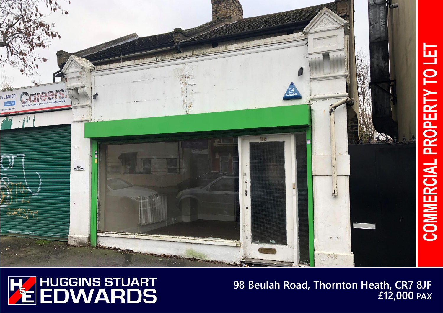



**98 Beulah Road, Thornton Heath, CR7 8JF £12,000 PAX**